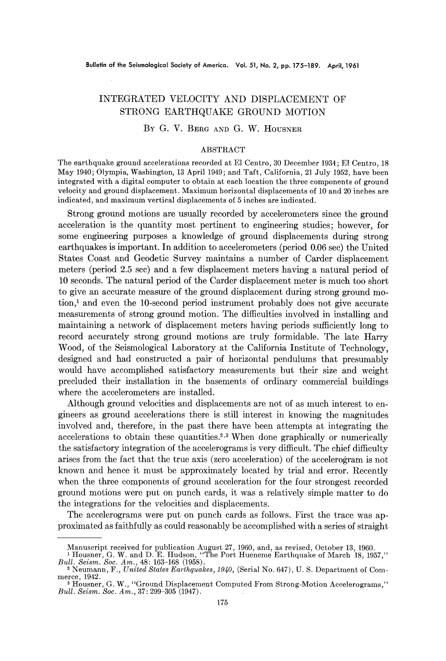## INTEGRATED VELOCITY AND DISPLACEMENT OF STRONG EARTHQUAKE GROUND MOTION

## BY G. V. BERG AND G. W. HOUSNER

## ABSTRACT

The earthquake ground accelerations recorded at E1 Centro, 30 December 1934; E1 Centro, 18 May 1940; Olympia, Washington, 13 April 1949; and Taft, California, 21 July 1952, have been integrated with a digital computer to obtain at each location the three components of ground velocity and ground displacement. Maximum horizontal displacements of 10 and 20 inches are indicated, and maximum vertical displacements of 5 inches are indicated.

Strong ground motions are usually recorded by accelerometers since the ground acceleration is the quantity most pertinent to engineering studies; however, for some engineering purposes a knowledge of ground displacements during strong earthquakes is important. In addition to accelerometers (period 0.06 sec) the United States Coast and Geodetic Survey maintains a number of Carder displacement meters (period 2.5 sec) and a few displacement meters having a natural period of 10 seconds. The natural period of the Carder displacement meter is much too short to give an accurate measure of the ground displacement during strong ground motion, $<sup>1</sup>$  and even the 10-second period instrument probably does not give accurate</sup> measurements of strong ground motion. The difficulties involved in installing and maintaining a network of displacement meters having periods sufficiently long to record accurately strong ground motions are truly formidable. The late Harry Wood, of the Seismological Laboratory at the California Institute of Technology, designed and had constructed a pair of horizontal pendulums that presumably would have accomplished satisfactory measurements but their size and weight precluded their installation in the basements of ordinary commercial buildings where the aecelerometers are installed.

Although ground velocities and displacements are not of as much interest to engineers as ground accelerations there is still interest in knowing the magnitudes involved and, therefore, in the past there have been attempts at integrating the accelerations to obtain these quantities.<sup>2,3</sup> When done graphically or numerically the satisfactory integration of the accelerograms is very difficult. The chief difficulty arises from the fact that the true axis (zero acceleration) of the accelerogram is not known and hence it must be approximately located by trial and error. Recently when the three components of ground acceleration for the four strongest recorded ground motions were put on punch cards, it was a relatively simple matter to do the integrations for the velocities and displacements.

The accelerograms were put on punch cards as follows. First the trace was approximated as faithfully as could reasonably be accomplished with a series of straight

Manuscript received for publication August 27, 1960, and, as revised, October 13, 1960.<br><sup>1</sup> Housner, G. W. and D. E. Hudson, "The Port Hueneme Earthquake of March 18, 1957,"<br>*Bull. Seism. Soc. Am.*, 48: 163-168 (1958).

<sup>&</sup>lt;sup>2</sup> Neumann, F., *United States Earthquakes, 1940*, (Serial No. 647), U. S. Department of Commerce, 1942.

<sup>&</sup>lt;sup>3</sup> Housner, G. W., "Ground Displacement Computed From Strong-Motion Accelerograms," *Bull. Seism. Soc. Am.,* 37:299-305 (1947).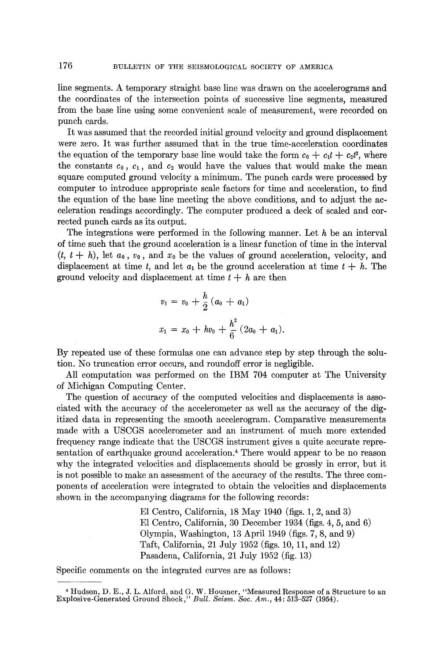line segments. A temporary straight base line was drawn on the accelerograms and the coordinates of the intersection points of successive line segments, measured from the base line using some convenient scale of measurement, were recorded on punch cards.

It was assumed that the recorded initial ground velocity and ground displacement were zero. It was further assumed that in the true time-acceleration coordinates the equation of the temporary base line would take the form  $c_0 + c_1t + c_2t^2$ , where the constants  $c_0$ ,  $c_1$ , and  $c_2$  would have the values that would make the mean square computed ground velocity a minimum. The punch cards were processed by computer to introduce appropriate scale factors for time and acceleration, to find the equation of the base line meeting the above conditions, and to adjust the acceleration readings accordingly. The computer produced a deck of scaled and corrected punch cards as its output.

The integrations were performed in the following manner. Let  $h$  be an interval of time such that the ground acceleration is a linear function of time in the interval  $(t, t+h)$ , let  $a_0, v_0$ , and  $x_0$  be the values of ground acceleration, velocity, and displacement at time t, and let  $a_1$  be the ground acceleration at time  $t + h$ . The ground velocity and displacement at time  $t + h$  are then

$$
v_1 = v_0 + \frac{h}{2} (a_0 + a_1)
$$
  

$$
x_1 = x_0 + hv_0 + \frac{h^2}{6} (2a_0 + a_1).
$$

By repeated use of these formulas one can advance step by step through the solution. No truncation error occurs, and roundoff error is negligible.

All computation was performed on the IBM 704 computer at The University of Michigan Computing Center.

The question of accuracy of the computed velocities and displacements is associated with the accuracy of the accelerometer as well as the accuracy of the digitized data in representing the smooth accelerogram. Comparative measurements made with a USCGS accelerometer and an instrument of much more extended frequency range indicate that the USCGS instrument gives a quite accurate representation of earthquake ground acceleration. 4 There would appear to be no reason why the integrated velocities and displacements should be grossly in error, but it is not possible to make an assessment of the accuracy of the results. The three components of acceleration were integrated to obtain the velocities and displacements shown in the accompanying diagrams for the following records:

> E1 Centro, California, 18 May 1940 (figs. 1, 2, and 3) E1 Centro, California, 30 December 1934 (figs. 4, 5, and 6) Olympia, Washington, 13 April 1949 (figs. 7, 8, and 9) Taft, California, 21 July 1952 (figs. 10, 11, and 12) Pasadena, California, 21 July 1952 (fig. 13)

Specific comments on the integrated curves are as follows:

<sup>4</sup> Hudson, D. E., J. L. Alford, and G. W. Housner, "Measured Response of a Structure to an Explosive-Generated Ground Shock," *Bull. Seism. Soc. Am.,* 44:513-527 (1954).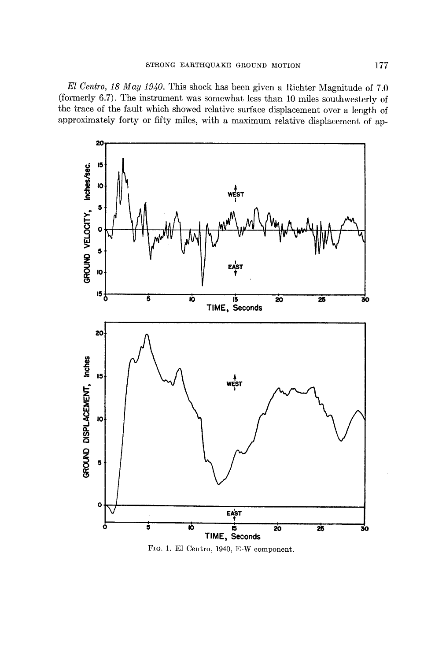*E1 Centro, 18 May 1940.* This shock has been given a Richter Magnitude of 7.0 (formerly 6.7). The instrument was somewhat less than 10 miles southwesterly of the trace of the fault which showed relative surface displacement over a length of approximately forty or fifty miles, with a maximum relative displacement of ap-



FIG. 1. E1 Centro, 1940, E-W component.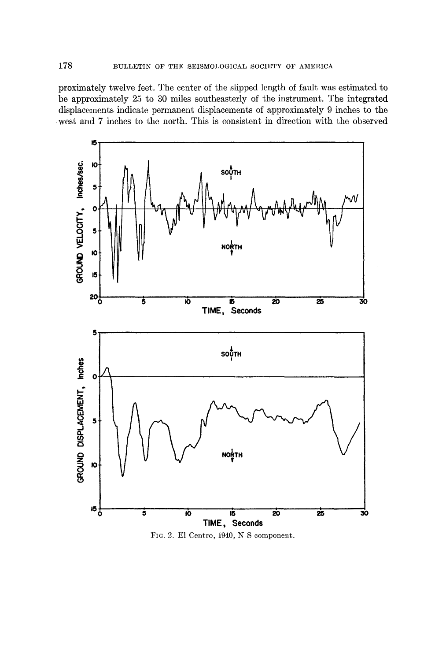proximately twelve feet. The center of the slipped length of fault was estimated to be approximately 25 to 30 miles southeasterly of the instrument. The integrated displacements indicate permanent displacements of approximately 9 inches to the west and 7 inches to the north. This is consistent in direction with the observed



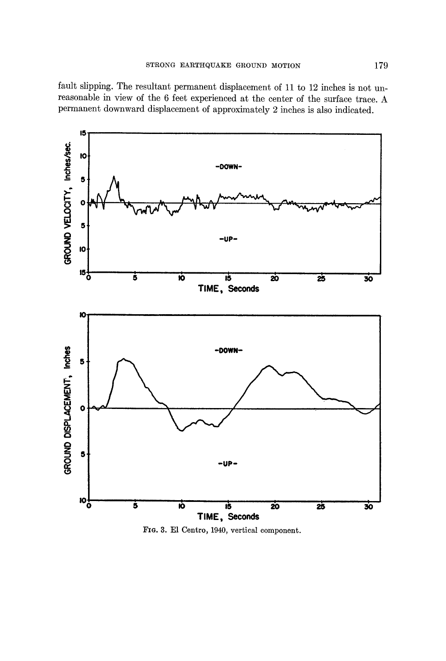fault slipping. The resultant permanent displacement of 11 to 12 inches is not unreasonable in view of the 6 feet experienced at the center of the surface trace. A permanent downward displacement of approximately 2 inches is also indicated.



FIG. 3. El Centro, 1940, vertical component.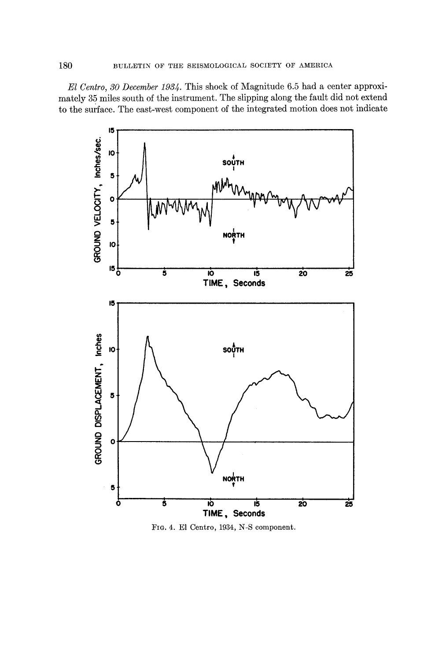*El Centro, 30 December 1934.* This shock of Magnitude 6.5 had a center approximately 35 miles south of the instrument. The slipping along the fault did not extend to the surface. The east-west component of the integrated motion does not indicate



FIG. 4. E1 Centro, 1934, N-S component.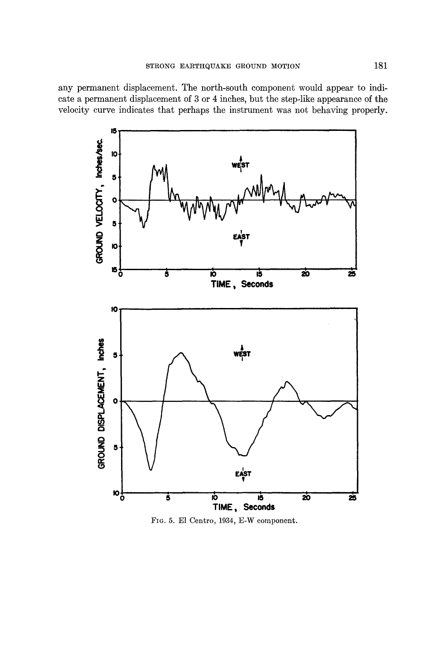any permanent displacement. The north-south component would appear to indicate a permanent displacement of 3 or 4 inches, but the step-like appearance of the velocity curve indicates that perhaps the instrument was not behaving properly.



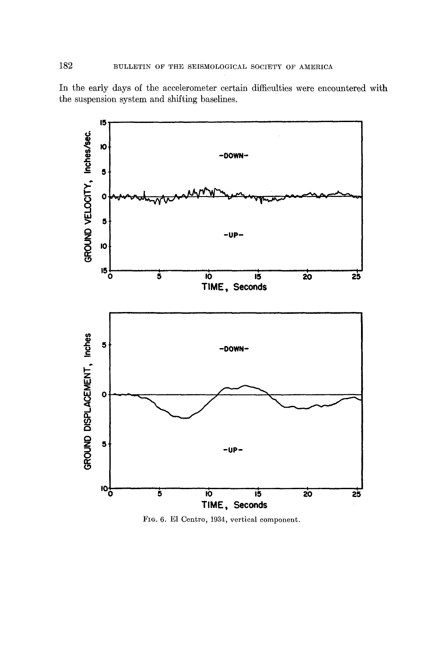In the early days of the accelerometer certain difficulties were encountered with the suspension system and shifting baselines.



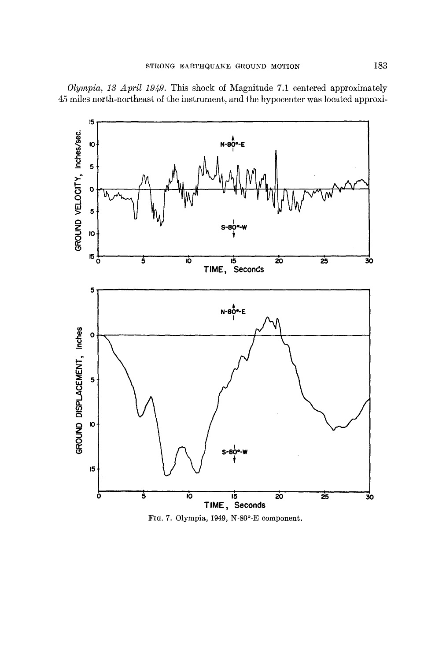*Olympia, 13 April 1949.* This shock of Magnitude 7.1 centered approximately 45 miles north-northeast of the instrument, and the hypocenter was located approxi-

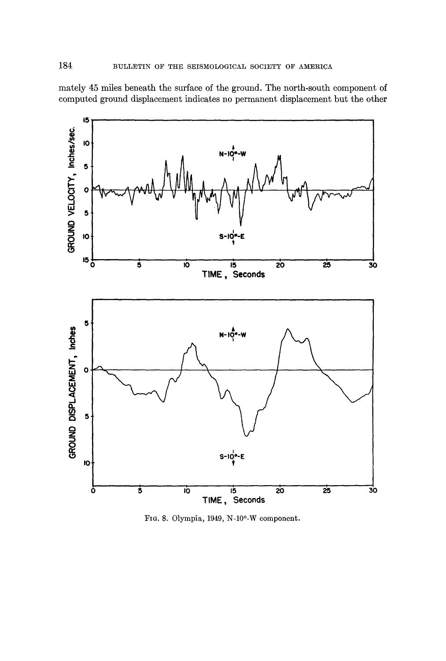mately 45 miles beneath the surface of the ground. The north-south component of computed ground displacement indicates no permanent displacement but the other



FIG. 8. Olympia, 1949, N-10°-W component.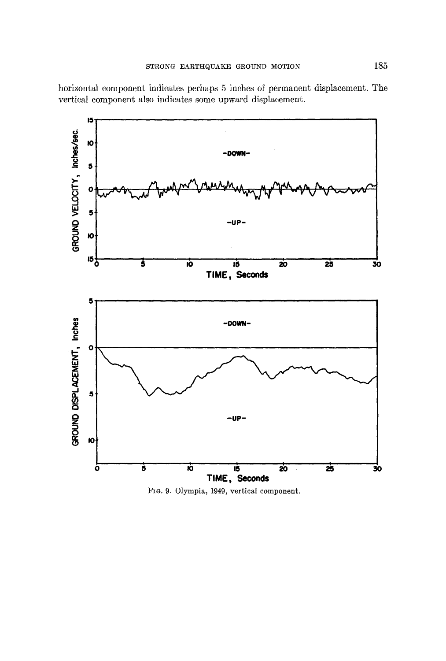

horizontal component indicates perhaps 5 inches of permanent displacement. The vertical component also indicates some upward displacement.

FIG. 9. Olympia, 1949, vertical component.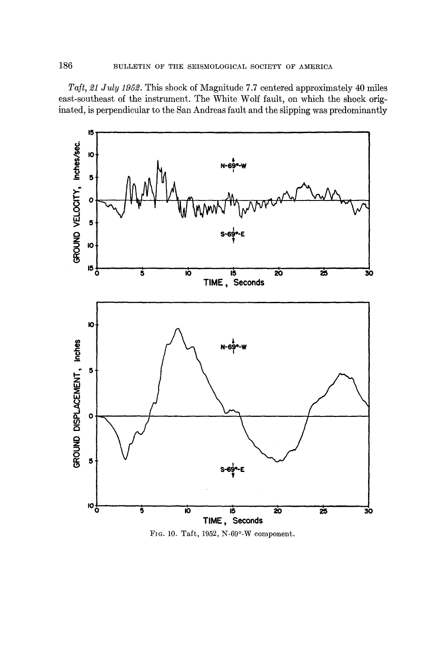*Taft, 21 July 1952.* This shock of Magnitude 7.7 centered approximately 40 miles east-southeast of the instrument. The White Wolf fault, on which the shock originated, is perpendicular to the San Andreas fault and the slipping was predominantly



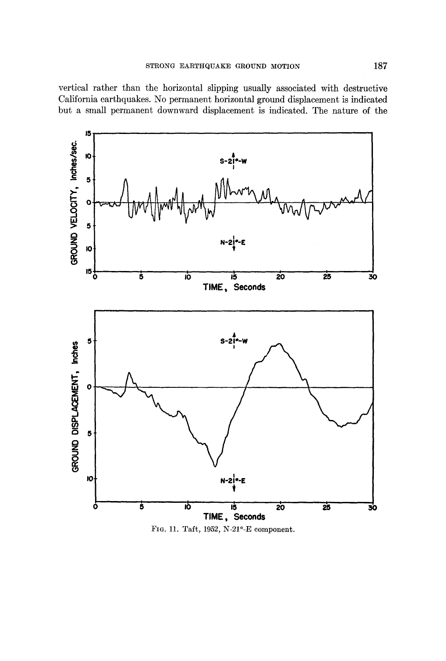vertical rather than the horizontal slipping usually associated with destructive California earthquakes. No permanent horizontal ground displacement is indicated but a small permanent downward displacement is indicated. The nature of the



FIG. 11. Taft, 1952, N-21°-E component.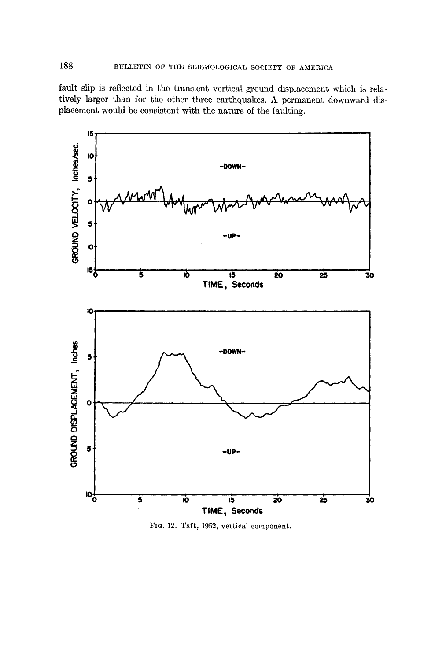fault slip is reflected in the transient vertical ground displacement which is relatively larger than for the other three earthquakes. A permanent downward displacement would be consistent with the nature of the faulting.



FIG. 12. Taft, 1952, vertical component.